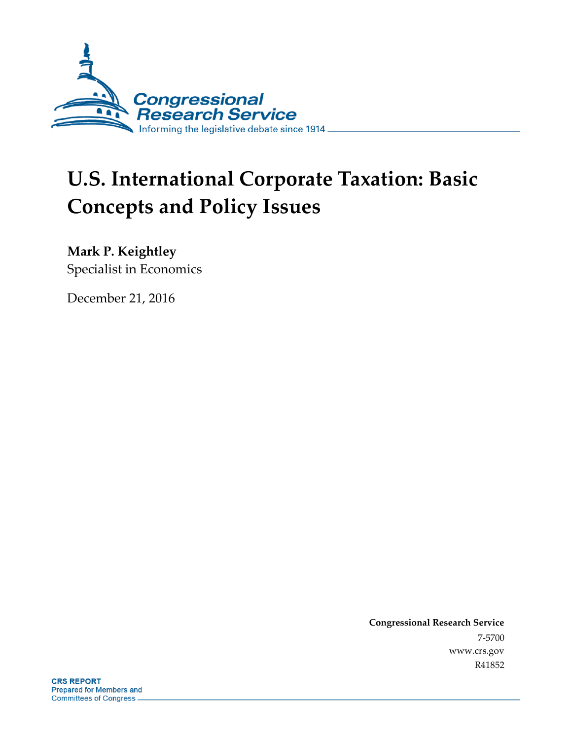

# **U.S. International Corporate Taxation: Basic Concepts and Policy Issues**

**Mark P. Keightley**

Specialist in Economics

December 21, 2016

**Congressional Research Service** 7-5700 www.crs.gov R41852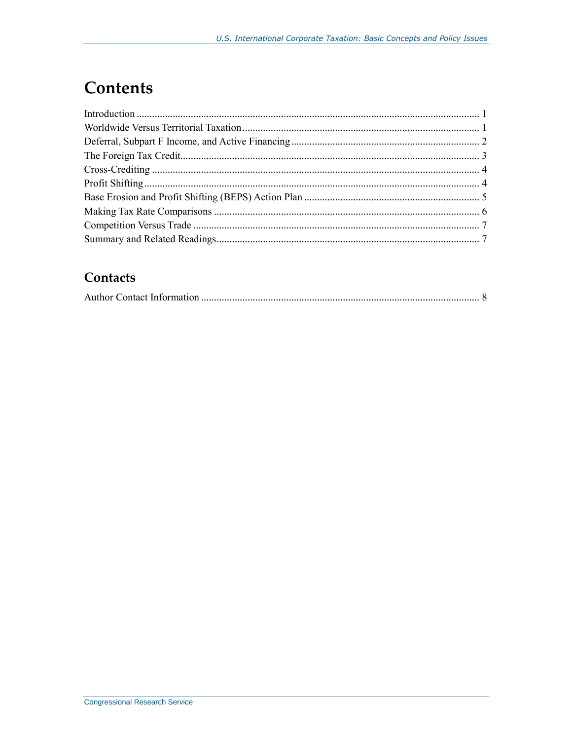# **Contents**

#### Contacts

|--|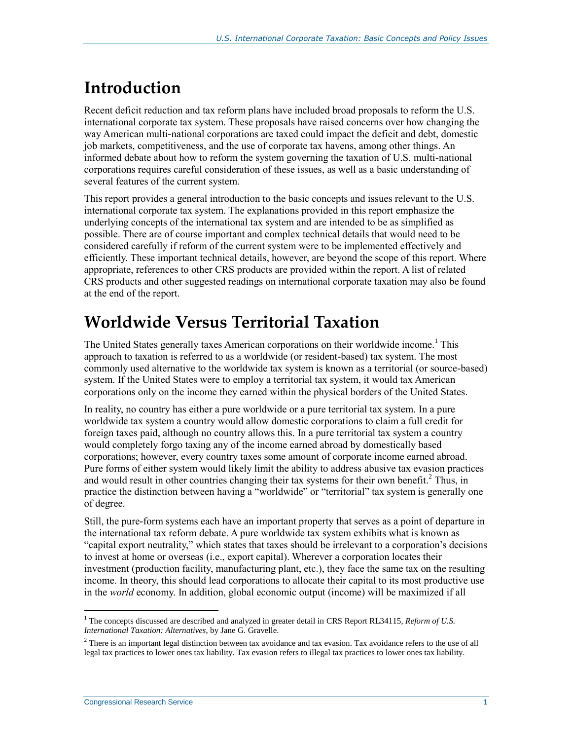# **Introduction**

Recent deficit reduction and tax reform plans have included broad proposals to reform the U.S. international corporate tax system. These proposals have raised concerns over how changing the way American multi-national corporations are taxed could impact the deficit and debt, domestic job markets, competitiveness, and the use of corporate tax havens, among other things. An informed debate about how to reform the system governing the taxation of U.S. multi-national corporations requires careful consideration of these issues, as well as a basic understanding of several features of the current system.

This report provides a general introduction to the basic concepts and issues relevant to the U.S. international corporate tax system. The explanations provided in this report emphasize the underlying concepts of the international tax system and are intended to be as simplified as possible. There are of course important and complex technical details that would need to be considered carefully if reform of the current system were to be implemented effectively and efficiently. These important technical details, however, are beyond the scope of this report. Where appropriate, references to other CRS products are provided within the report. A list of related CRS products and other suggested readings on international corporate taxation may also be found at the end of the report.

### **Worldwide Versus Territorial Taxation**

The United States generally taxes American corporations on their worldwide income.<sup>1</sup> This approach to taxation is referred to as a worldwide (or resident-based) tax system. The most commonly used alternative to the worldwide tax system is known as a territorial (or source-based) system. If the United States were to employ a territorial tax system, it would tax American corporations only on the income they earned within the physical borders of the United States.

In reality, no country has either a pure worldwide or a pure territorial tax system. In a pure worldwide tax system a country would allow domestic corporations to claim a full credit for foreign taxes paid, although no country allows this. In a pure territorial tax system a country would completely forgo taxing any of the income earned abroad by domestically based corporations; however, every country taxes some amount of corporate income earned abroad. Pure forms of either system would likely limit the ability to address abusive tax evasion practices and would result in other countries changing their tax systems for their own benefit.<sup>2</sup> Thus, in practice the distinction between having a "worldwide" or "territorial" tax system is generally one of degree.

Still, the pure-form systems each have an important property that serves as a point of departure in the international tax reform debate. A pure worldwide tax system exhibits what is known as "capital export neutrality," which states that taxes should be irrelevant to a corporation's decisions to invest at home or overseas (i.e., export capital). Wherever a corporation locates their investment (production facility, manufacturing plant, etc.), they face the same tax on the resulting income. In theory, this should lead corporations to allocate their capital to its most productive use in the *world* economy. In addition, global economic output (income) will be maximized if all

 $\overline{a}$ <sup>1</sup> The concepts discussed are described and analyzed in greater detail in CRS Report RL34115, *Reform of U.S. International Taxation: Alternatives*, by Jane G. Gravelle.

 $2$  There is an important legal distinction between tax avoidance and tax evasion. Tax avoidance refers to the use of all legal tax practices to lower ones tax liability. Tax evasion refers to illegal tax practices to lower ones tax liability.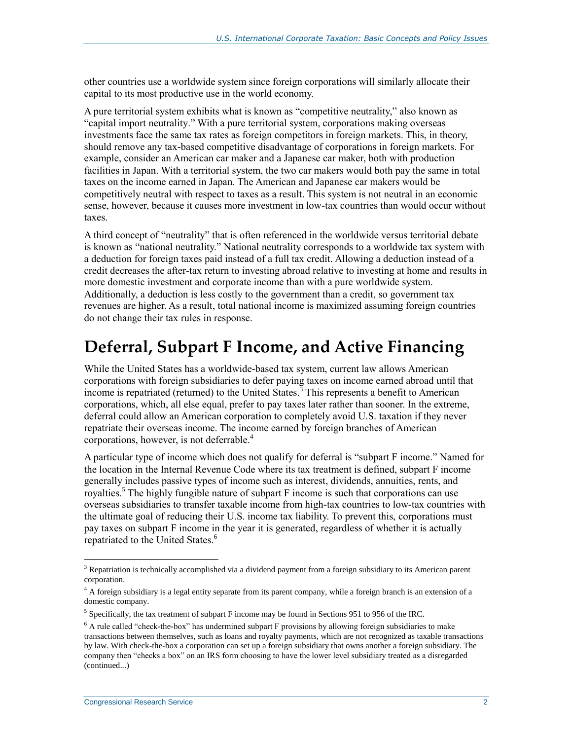other countries use a worldwide system since foreign corporations will similarly allocate their capital to its most productive use in the world economy.

A pure territorial system exhibits what is known as "competitive neutrality," also known as "capital import neutrality." With a pure territorial system, corporations making overseas investments face the same tax rates as foreign competitors in foreign markets. This, in theory, should remove any tax-based competitive disadvantage of corporations in foreign markets. For example, consider an American car maker and a Japanese car maker, both with production facilities in Japan. With a territorial system, the two car makers would both pay the same in total taxes on the income earned in Japan. The American and Japanese car makers would be competitively neutral with respect to taxes as a result. This system is not neutral in an economic sense, however, because it causes more investment in low-tax countries than would occur without taxes.

A third concept of "neutrality" that is often referenced in the worldwide versus territorial debate is known as "national neutrality." National neutrality corresponds to a worldwide tax system with a deduction for foreign taxes paid instead of a full tax credit. Allowing a deduction instead of a credit decreases the after-tax return to investing abroad relative to investing at home and results in more domestic investment and corporate income than with a pure worldwide system. Additionally, a deduction is less costly to the government than a credit, so government tax revenues are higher. As a result, total national income is maximized assuming foreign countries do not change their tax rules in response.

#### **Deferral, Subpart F Income, and Active Financing**

While the United States has a worldwide-based tax system, current law allows American corporations with foreign subsidiaries to defer paying taxes on income earned abroad until that income is repatriated (returned) to the United States.<sup>3</sup> This represents a benefit to American corporations, which, all else equal, prefer to pay taxes later rather than sooner. In the extreme, deferral could allow an American corporation to completely avoid U.S. taxation if they never repatriate their overseas income. The income earned by foreign branches of American corporations, however, is not deferrable.<sup>4</sup>

A particular type of income which does not qualify for deferral is "subpart F income." Named for the location in the Internal Revenue Code where its tax treatment is defined, subpart F income generally includes passive types of income such as interest, dividends, annuities, rents, and royalties.<sup>5</sup> The highly fungible nature of subpart F income is such that corporations can use overseas subsidiaries to transfer taxable income from high-tax countries to low-tax countries with the ultimate goal of reducing their U.S. income tax liability. To prevent this, corporations must pay taxes on subpart F income in the year it is generated, regardless of whether it is actually repatriated to the United States.<sup>6</sup>

<sup>&</sup>lt;sup>3</sup> Repatriation is technically accomplished via a dividend payment from a foreign subsidiary to its American parent corporation.

<sup>&</sup>lt;sup>4</sup> A foreign subsidiary is a legal entity separate from its parent company, while a foreign branch is an extension of a domestic company.

 $<sup>5</sup>$  Specifically, the tax treatment of subpart F income may be found in Sections 951 to 956 of the IRC.</sup>

<sup>6</sup> A rule called "check-the-box" has undermined subpart F provisions by allowing foreign subsidiaries to make transactions between themselves, such as loans and royalty payments, which are not recognized as taxable transactions by law. With check-the-box a corporation can set up a foreign subsidiary that owns another a foreign subsidiary. The company then "checks a box" on an IRS form choosing to have the lower level subsidiary treated as a disregarded (continued...)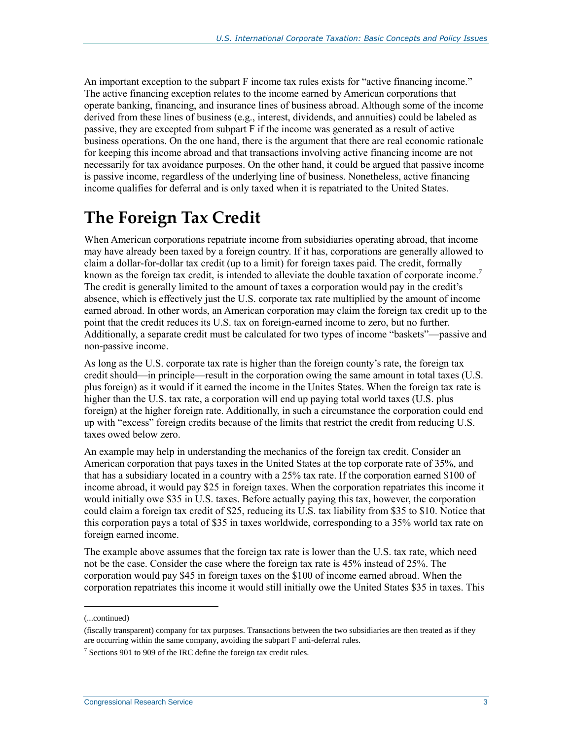An important exception to the subpart F income tax rules exists for "active financing income." The active financing exception relates to the income earned by American corporations that operate banking, financing, and insurance lines of business abroad. Although some of the income derived from these lines of business (e.g., interest, dividends, and annuities) could be labeled as passive, they are excepted from subpart F if the income was generated as a result of active business operations. On the one hand, there is the argument that there are real economic rationale for keeping this income abroad and that transactions involving active financing income are not necessarily for tax avoidance purposes. On the other hand, it could be argued that passive income is passive income, regardless of the underlying line of business. Nonetheless, active financing income qualifies for deferral and is only taxed when it is repatriated to the United States.

# **The Foreign Tax Credit**

When American corporations repatriate income from subsidiaries operating abroad, that income may have already been taxed by a foreign country. If it has, corporations are generally allowed to claim a dollar-for-dollar tax credit (up to a limit) for foreign taxes paid. The credit, formally known as the foreign tax credit, is intended to alleviate the double taxation of corporate income.<sup>7</sup> The credit is generally limited to the amount of taxes a corporation would pay in the credit's absence, which is effectively just the U.S. corporate tax rate multiplied by the amount of income earned abroad. In other words, an American corporation may claim the foreign tax credit up to the point that the credit reduces its U.S. tax on foreign-earned income to zero, but no further. Additionally, a separate credit must be calculated for two types of income "baskets"—passive and non-passive income.

As long as the U.S. corporate tax rate is higher than the foreign county's rate, the foreign tax credit should—in principle—result in the corporation owing the same amount in total taxes (U.S. plus foreign) as it would if it earned the income in the Unites States. When the foreign tax rate is higher than the U.S. tax rate, a corporation will end up paying total world taxes (U.S. plus foreign) at the higher foreign rate. Additionally, in such a circumstance the corporation could end up with "excess" foreign credits because of the limits that restrict the credit from reducing U.S. taxes owed below zero.

An example may help in understanding the mechanics of the foreign tax credit. Consider an American corporation that pays taxes in the United States at the top corporate rate of 35%, and that has a subsidiary located in a country with a 25% tax rate. If the corporation earned \$100 of income abroad, it would pay \$25 in foreign taxes. When the corporation repatriates this income it would initially owe \$35 in U.S. taxes. Before actually paying this tax, however, the corporation could claim a foreign tax credit of \$25, reducing its U.S. tax liability from \$35 to \$10. Notice that this corporation pays a total of \$35 in taxes worldwide, corresponding to a 35% world tax rate on foreign earned income.

The example above assumes that the foreign tax rate is lower than the U.S. tax rate, which need not be the case. Consider the case where the foreign tax rate is 45% instead of 25%. The corporation would pay \$45 in foreign taxes on the \$100 of income earned abroad. When the corporation repatriates this income it would still initially owe the United States \$35 in taxes. This

<sup>(...</sup>continued)

<sup>(</sup>fiscally transparent) company for tax purposes. Transactions between the two subsidiaries are then treated as if they are occurring within the same company, avoiding the subpart F anti-deferral rules.

 $7$  Sections 901 to 909 of the IRC define the foreign tax credit rules.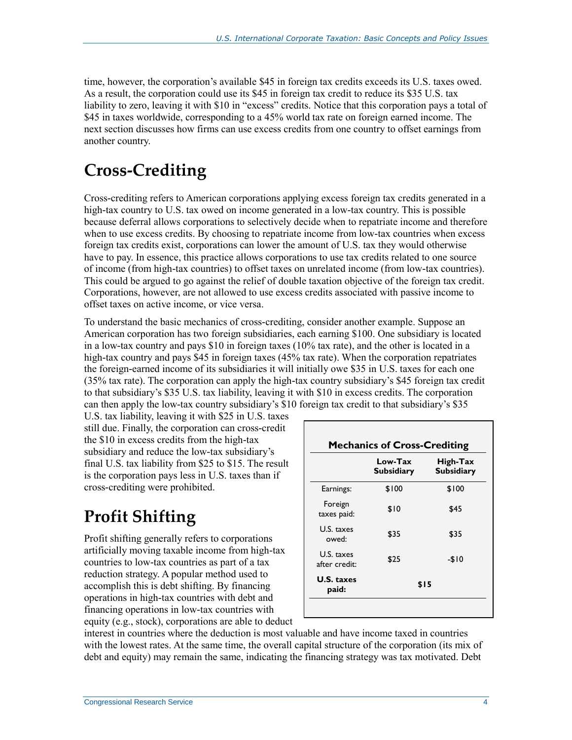time, however, the corporation's available \$45 in foreign tax credits exceeds its U.S. taxes owed. As a result, the corporation could use its \$45 in foreign tax credit to reduce its \$35 U.S. tax liability to zero, leaving it with \$10 in "excess" credits. Notice that this corporation pays a total of \$45 in taxes worldwide, corresponding to a 45% world tax rate on foreign earned income. The next section discusses how firms can use excess credits from one country to offset earnings from another country.

# **Cross-Crediting**

Cross-crediting refers to American corporations applying excess foreign tax credits generated in a high-tax country to U.S. tax owed on income generated in a low-tax country. This is possible because deferral allows corporations to selectively decide when to repatriate income and therefore when to use excess credits. By choosing to repatriate income from low-tax countries when excess foreign tax credits exist, corporations can lower the amount of U.S. tax they would otherwise have to pay. In essence, this practice allows corporations to use tax credits related to one source of income (from high-tax countries) to offset taxes on unrelated income (from low-tax countries). This could be argued to go against the relief of double taxation objective of the foreign tax credit. Corporations, however, are not allowed to use excess credits associated with passive income to offset taxes on active income, or vice versa.

To understand the basic mechanics of cross-crediting, consider another example. Suppose an American corporation has two foreign subsidiaries, each earning \$100. One subsidiary is located in a low-tax country and pays \$10 in foreign taxes (10% tax rate), and the other is located in a high-tax country and pays \$45 in foreign taxes (45% tax rate). When the corporation repatriates the foreign-earned income of its subsidiaries it will initially owe \$35 in U.S. taxes for each one (35% tax rate). The corporation can apply the high-tax country subsidiary's \$45 foreign tax credit to that subsidiary's \$35 U.S. tax liability, leaving it with \$10 in excess credits. The corporation can then apply the low-tax country subsidiary's \$10 foreign tax credit to that subsidiary's \$35

U.S. tax liability, leaving it with \$25 in U.S. taxes still due. Finally, the corporation can cross-credit the \$10 in excess credits from the high-tax subsidiary and reduce the low-tax subsidiary's final U.S. tax liability from \$25 to \$15. The result is the corporation pays less in U.S. taxes than if cross-crediting were prohibited.

# **Profit Shifting**

Profit shifting generally refers to corporations artificially moving taxable income from high-tax countries to low-tax countries as part of a tax reduction strategy. A popular method used to accomplish this is debt shifting. By financing operations in high-tax countries with debt and financing operations in low-tax countries with equity (e.g., stock), corporations are able to deduct

|                             | Low-Tax<br><b>Subsidiary</b> | High-Tax<br><b>Subsidiary</b> |
|-----------------------------|------------------------------|-------------------------------|
| Earnings:                   | \$100                        | \$100                         |
| Foreign<br>taxes paid:      | \$10                         | \$45                          |
| U.S. taxes<br>owed:         | \$35                         | \$35                          |
| U.S. taxes<br>after credit: | \$25                         | $-$10$                        |
| <b>U.S. taxes</b><br>paid:  | \$15                         |                               |

interest in countries where the deduction is most valuable and have income taxed in countries with the lowest rates. At the same time, the overall capital structure of the corporation (its mix of debt and equity) may remain the same, indicating the financing strategy was tax motivated. Debt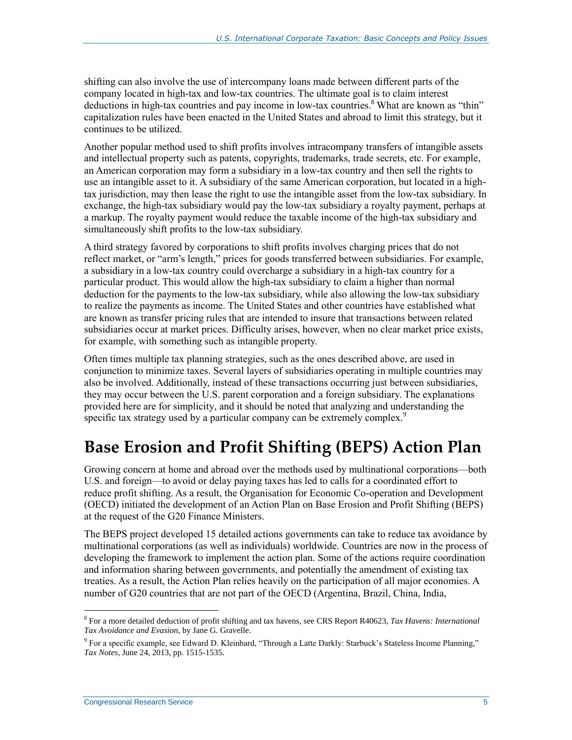shifting can also involve the use of intercompany loans made between different parts of the company located in high-tax and low-tax countries. The ultimate goal is to claim interest deductions in high-tax countries and pay income in low-tax countries.<sup>8</sup> What are known as "thin" capitalization rules have been enacted in the United States and abroad to limit this strategy, but it continues to be utilized.

Another popular method used to shift profits involves intracompany transfers of intangible assets and intellectual property such as patents, copyrights, trademarks, trade secrets, etc. For example, an American corporation may form a subsidiary in a low-tax country and then sell the rights to use an intangible asset to it. A subsidiary of the same American corporation, but located in a hightax jurisdiction, may then lease the right to use the intangible asset from the low-tax subsidiary. In exchange, the high-tax subsidiary would pay the low-tax subsidiary a royalty payment, perhaps at a markup. The royalty payment would reduce the taxable income of the high-tax subsidiary and simultaneously shift profits to the low-tax subsidiary.

A third strategy favored by corporations to shift profits involves charging prices that do not reflect market, or "arm's length," prices for goods transferred between subsidiaries. For example, a subsidiary in a low-tax country could overcharge a subsidiary in a high-tax country for a particular product. This would allow the high-tax subsidiary to claim a higher than normal deduction for the payments to the low-tax subsidiary, while also allowing the low-tax subsidiary to realize the payments as income. The United States and other countries have established what are known as transfer pricing rules that are intended to insure that transactions between related subsidiaries occur at market prices. Difficulty arises, however, when no clear market price exists, for example, with something such as intangible property.

Often times multiple tax planning strategies, such as the ones described above, are used in conjunction to minimize taxes. Several layers of subsidiaries operating in multiple countries may also be involved. Additionally, instead of these transactions occurring just between subsidiaries, they may occur between the U.S. parent corporation and a foreign subsidiary. The explanations provided here are for simplicity, and it should be noted that analyzing and understanding the specific tax strategy used by a particular company can be extremely complex.<sup>9</sup>

## **Base Erosion and Profit Shifting (BEPS) Action Plan**

Growing concern at home and abroad over the methods used by multinational corporations—both U.S. and foreign—to avoid or delay paying taxes has led to calls for a coordinated effort to reduce profit shifting. As a result, the Organisation for Economic Co-operation and Development (OECD) initiated the development of an Action Plan on Base Erosion and Profit Shifting (BEPS) at the request of the G20 Finance Ministers.

The BEPS project developed 15 detailed actions governments can take to reduce tax avoidance by multinational corporations (as well as individuals) worldwide. Countries are now in the process of developing the framework to implement the action plan. Some of the actions require coordination and information sharing between governments, and potentially the amendment of existing tax treaties. As a result, the Action Plan relies heavily on the participation of all major economies. A number of G20 countries that are not part of the OECD (Argentina, Brazil, China, India,

<sup>8</sup> For a more detailed deduction of profit shifting and tax havens, see CRS Report R40623, *Tax Havens: International Tax Avoidance and Evasion*, by Jane G. Gravelle.

<sup>9</sup> For a specific example, see Edward D. Kleinbard, "Through a Latte Darkly: Starbuck's Stateless Income Planning," *Tax Notes*, June 24, 2013, pp. 1515-1535.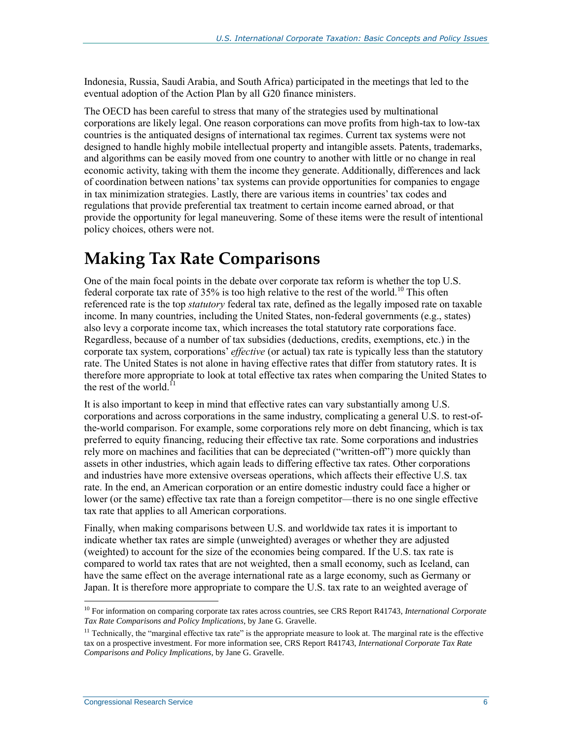Indonesia, Russia, Saudi Arabia, and South Africa) participated in the meetings that led to the eventual adoption of the Action Plan by all G20 finance ministers.

The OECD has been careful to stress that many of the strategies used by multinational corporations are likely legal. One reason corporations can move profits from high-tax to low-tax countries is the antiquated designs of international tax regimes. Current tax systems were not designed to handle highly mobile intellectual property and intangible assets. Patents, trademarks, and algorithms can be easily moved from one country to another with little or no change in real economic activity, taking with them the income they generate. Additionally, differences and lack of coordination between nations' tax systems can provide opportunities for companies to engage in tax minimization strategies. Lastly, there are various items in countries' tax codes and regulations that provide preferential tax treatment to certain income earned abroad, or that provide the opportunity for legal maneuvering. Some of these items were the result of intentional policy choices, others were not.

### **Making Tax Rate Comparisons**

One of the main focal points in the debate over corporate tax reform is whether the top U.S. federal corporate tax rate of  $35\%$  is too high relative to the rest of the world.<sup>10</sup> This often referenced rate is the top *statutory* federal tax rate, defined as the legally imposed rate on taxable income. In many countries, including the United States, non-federal governments (e.g., states) also levy a corporate income tax, which increases the total statutory rate corporations face. Regardless, because of a number of tax subsidies (deductions, credits, exemptions, etc.) in the corporate tax system, corporations' *effective* (or actual) tax rate is typically less than the statutory rate. The United States is not alone in having effective rates that differ from statutory rates. It is therefore more appropriate to look at total effective tax rates when comparing the United States to the rest of the world.<sup>1</sup>

It is also important to keep in mind that effective rates can vary substantially among U.S. corporations and across corporations in the same industry, complicating a general U.S. to rest-ofthe-world comparison. For example, some corporations rely more on debt financing, which is tax preferred to equity financing, reducing their effective tax rate. Some corporations and industries rely more on machines and facilities that can be depreciated ("written-off") more quickly than assets in other industries, which again leads to differing effective tax rates. Other corporations and industries have more extensive overseas operations, which affects their effective U.S. tax rate. In the end, an American corporation or an entire domestic industry could face a higher or lower (or the same) effective tax rate than a foreign competitor—there is no one single effective tax rate that applies to all American corporations.

Finally, when making comparisons between U.S. and worldwide tax rates it is important to indicate whether tax rates are simple (unweighted) averages or whether they are adjusted (weighted) to account for the size of the economies being compared. If the U.S. tax rate is compared to world tax rates that are not weighted, then a small economy, such as Iceland, can have the same effect on the average international rate as a large economy, such as Germany or Japan. It is therefore more appropriate to compare the U.S. tax rate to an weighted average of

<sup>10</sup> For information on comparing corporate tax rates across countries, see CRS Report R41743, *International Corporate Tax Rate Comparisons and Policy Implications*, by Jane G. Gravelle.

 $11$  Technically, the "marginal effective tax rate" is the appropriate measure to look at. The marginal rate is the effective tax on a prospective investment. For more information see, CRS Report R41743, *International Corporate Tax Rate Comparisons and Policy Implications*, by Jane G. Gravelle.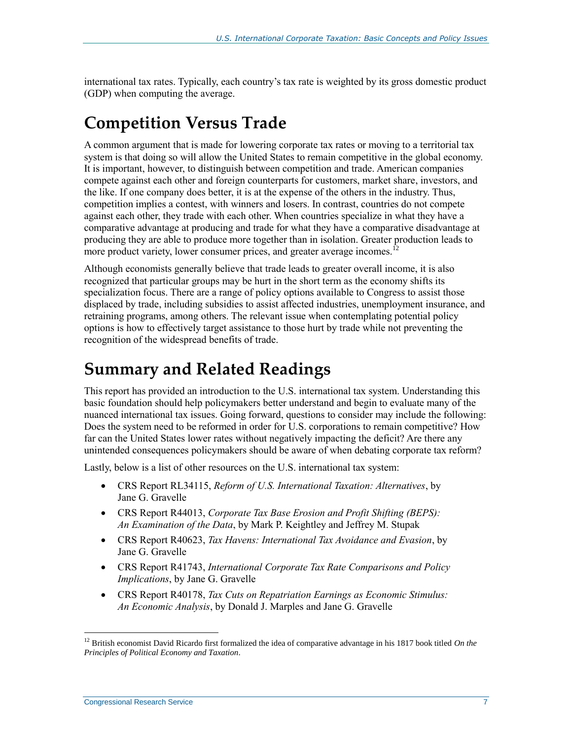international tax rates. Typically, each country's tax rate is weighted by its gross domestic product (GDP) when computing the average.

### **Competition Versus Trade**

A common argument that is made for lowering corporate tax rates or moving to a territorial tax system is that doing so will allow the United States to remain competitive in the global economy. It is important, however, to distinguish between competition and trade. American companies compete against each other and foreign counterparts for customers, market share, investors, and the like. If one company does better, it is at the expense of the others in the industry. Thus, competition implies a contest, with winners and losers. In contrast, countries do not compete against each other, they trade with each other. When countries specialize in what they have a comparative advantage at producing and trade for what they have a comparative disadvantage at producing they are able to produce more together than in isolation. Greater production leads to more product variety, lower consumer prices, and greater average incomes.<sup>12</sup>

Although economists generally believe that trade leads to greater overall income, it is also recognized that particular groups may be hurt in the short term as the economy shifts its specialization focus. There are a range of policy options available to Congress to assist those displaced by trade, including subsidies to assist affected industries, unemployment insurance, and retraining programs, among others. The relevant issue when contemplating potential policy options is how to effectively target assistance to those hurt by trade while not preventing the recognition of the widespread benefits of trade.

#### **Summary and Related Readings**

This report has provided an introduction to the U.S. international tax system. Understanding this basic foundation should help policymakers better understand and begin to evaluate many of the nuanced international tax issues. Going forward, questions to consider may include the following: Does the system need to be reformed in order for U.S. corporations to remain competitive? How far can the United States lower rates without negatively impacting the deficit? Are there any unintended consequences policymakers should be aware of when debating corporate tax reform?

Lastly, below is a list of other resources on the U.S. international tax system:

- CRS Report RL34115, *Reform of U.S. International Taxation: Alternatives*, by Jane G. Gravelle
- CRS Report R44013, *[Corporate Tax Base Erosion and Profit Shifting \(BEPS\):](http://www.crs.gov/Reports/R44013)  [An Examination of the Data](http://www.crs.gov/Reports/R44013)*, by Mark P. Keightley and Jeffrey M. Stupak
- CRS Report R40623, *Tax Havens: International Tax Avoidance and Evasion*, by Jane G. Gravelle
- CRS Report R41743, *[International Corporate Tax Rate Comparisons and Policy](http://www.crs.gov/Reports/R41743)  [Implications](http://www.crs.gov/Reports/R41743)*, by Jane G. Gravelle
- CRS Report R40178, *Tax Cuts on Repatriation Earnings as Economic Stimulus: An Economic Analysis*, by Donald J. Marples and Jane G. Gravelle

<sup>&</sup>lt;sup>12</sup> British economist David Ricardo first formalized the idea of comparative advantage in his 1817 book titled *On the Principles of Political Economy and Taxation*.